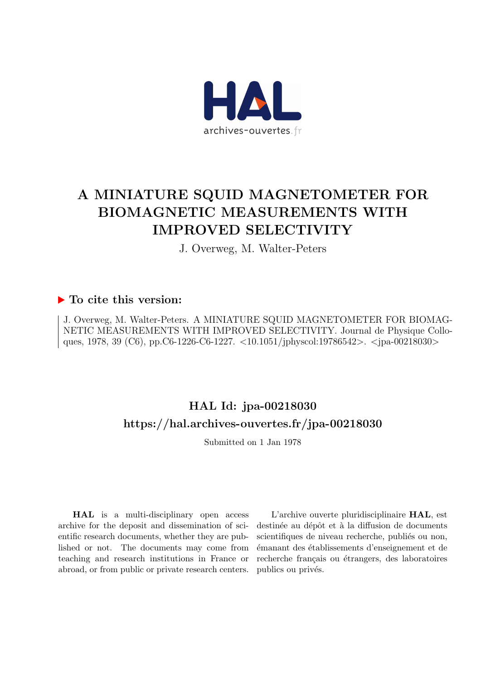

# A MINIATURE SQUID MAGNETOMETER FOR BIOMAGNETIC MEASUREMENTS WITH IMPROVED SELECTIVITY

J. Overweg, M. Walter-Peters

## ▶ To cite this version:

J. Overweg, M. Walter-Peters. A MINIATURE SQUID MAGNETOMETER FOR BIOMAG-NETIC MEASUREMENTS WITH IMPROVED SELECTIVITY. Journal de Physique Colloques, 1978, 39 (C6), pp.C6-1226-C6-1227. <10.1051/jphyscol:19786542>. <jpa-00218030>

## HAL Id: jpa-00218030 <https://hal.archives-ouvertes.fr/jpa-00218030>

Submitted on 1 Jan 1978

HAL is a multi-disciplinary open access archive for the deposit and dissemination of scientific research documents, whether they are published or not. The documents may come from teaching and research institutions in France or abroad, or from public or private research centers.

L'archive ouverte pluridisciplinaire HAL, est destinée au dépôt et à la diffusion de documents scientifiques de niveau recherche, publiés ou non, ´emanant des ´etablissements d'enseignement et de recherche français ou étrangers, des laboratoires publics ou privés.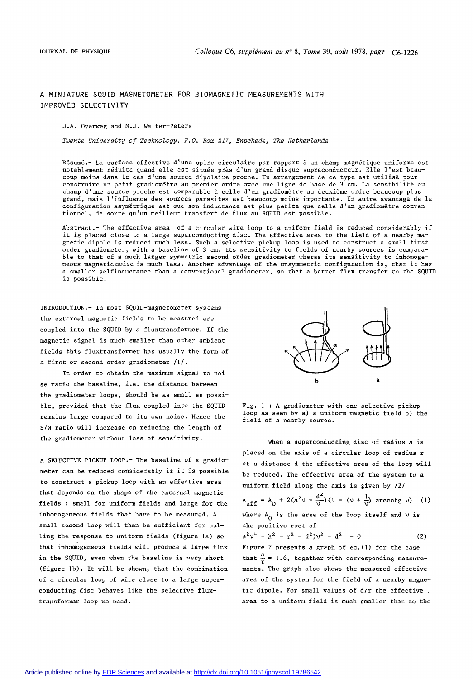### A MINIATURE SQUID MAGNETOMETER FOR BIOMAGNETIC MEASUREMENTS WITH IMPROVED SELECTIVITY

### J.A. Overweg and M.J. Walter-Peters

*Twente University of Technology, P.O. Box 217, Ensohede, The Netherlands* 

Résumé.- La surface effective d'une spire circulaire par rapport à un champ magnétique uniforme est notablement réduite quand elle est située près d'un grand disque supraconducteur. Elle l'est beaucoup moins dans le cas d'une source dipolaire proche. Un arrangement de ce type est utilisé pour construire un petit gradiomètre au premier ordre avec une ligne de base de 3 cm. La sensibilité au champ d'une source proche est comparable à celle d'un gradiomètre au deuxième ordre beaucoup plus grand, mais l'influence des sources parasites est beaucoup moins importante. Un autre avantage de la configuration asymétrique est que son inductance est plus petite que celle d'un gradiomètre conventionnel, de sorte qu'un meilleur transfert de flux au SQUID est possible.

Abstract.- The effective area of a circular wire loop to a uniform field is reduced considerably if it is placed close to a large superconducting disc. The effective area to the field of a nearby magnetic dipole is reduced much less. Such a selective pickup loop is used to construct a small first order gradiometer, with a baseline of 3 cm. Its sensitivity to fields of nearby sources is comparable to that of a much larger symmetric second order gradiometer wheras its sensitivity to inhomogeneous magnetic noise is much less. Another advantage of the unsymmetric configuration is, that it has a smaller selfinductance than a conventional gradiometer, so that a better flux transfer to the SQUID is possible.

INTRODUCTION.- In most SQUID-magnetometer systems the external magnetic fields to be measured are coupled into the SQUID by a fluxtransformer. If the magnetic signal is much smaller than other ambient fields this fluxtransformer has usually the form of a first or second order gradiometer /l/.

In order to obtain the maximum signal to noise ratio the baseline, i.e. the distance between the gradiometer loops, should be as small as possible, provided that the flux coupled into the SQUID remains large compared to its own noise. Hence the S/N ratio will increase on reducing the length of the gradiometer without loss of sensitivity.

A SELECTIVE PICKUP LOOP.- The baseline of a gradiometer can be reduced considerably if it is possible to construct a pickup loop with an effective area that depends on the shape of the external magnetic fields : small for uniform fields and large for the inhomogeneous fields that have to be measured. A small second loop will then be sufficient for nulling the response to uniform fields (figure la) so that inhomogeneous fields will produce a large flux in the SQUID, even when the baseline is very short (figure lb). It will be shown, that the combination of a circular loop of wire close to a large superconducting disc behaves like the selective fluxtransformer loop we need.



Fig. 1 : A gradiometer with one selective pickup loop as seen by a) a uniform magnetic field b) the field of a nearby source.

When a superconducting disc of radius a is placed on the axis of a circular loop of radius r at a distance d the effective area of the loop will be reduced. The effective area of the system to a uniform field along the axis is given by  $/2/$ 

$$
A_{eff} = A_0 + 2(a^2v - \frac{d^2}{v})(1 - (v + \frac{1}{v})
$$
 arccotg v) (1)  
where A<sub>0</sub> is the area of the loop itself and v is  
the positive root of

$$
a^{2}v^{4} + (a^{2} - r^{2} - d^{2})v^{2} - d^{2} = 0
$$
 (2)

Figure 2 presents a graph of eq.(!) for the case that  $\frac{a}{r}$  = 1.6, together with corresponding measurements. The graph also shows the measured effective area of the system for the field of a nearby magnetic dipole. For small values of d/r the effective . area to a uniform field is much smaller than to the